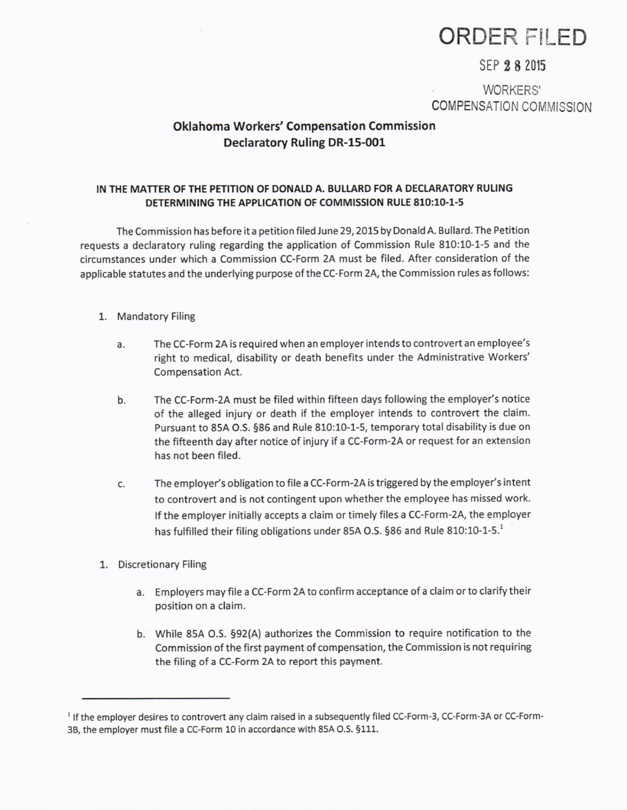# ORDER FILED

## SEP 28 2015

WORKERS' COMPENSATION COMMISSION

# Oklahoma Workers' Compensation Commission Declaratory Ruling DR-15-001

### IN THE MATTER OF THE PETITION OF DONALD A. BUIIARD FOR A DECIARATORY RULING DETERMINING THE APPLICATION OF COMMISSION RULE 810:10-1-5

The Commission has before it a petition filed June 29, 2015 by Donald A. Bullard. The Petition requests a declaratory ruling regarding the application of Commission Rule 810:10-1-5 and the circumstances under which a commission CC-Form 2A must be filed. After consideratlon of the applicable statutes and the underlying purpose of the CC-Form 2A, the Commission rules as follows:

#### 1. Mandatory Filing

- The CC-Form 2A is required when an employer intends to controvert an employee's right to medical, disability or death benefits under the Administrative Workers' Compensation Act. a.
- The CC-Form-2A must be filed within fifteen days following the employer's notice of the alleged injury or death if the employer intends to controvert the claim. Pursuant to 85A O.S. 586 and Rule 810:10-1-5, temporary total disability is due on the fifteenth day after notice of injury if a CC-Form-2A or request for an extension has not been filed. b.
- The employer's obligation to file a CC-Form-2A is triggered by the employer's intent c. to controvert and is not contingent upon whether the employee has missed work. lf the employer initially accepts a claim or timely files a CC-Form-2A, the employer has fulfilled their filing obligations under 85A O.S. §86 and Rule 810:10-1-5. $^{1}$
- 1. Discretionary Filing
	- a. Employers may file a CC-Form 2A to confirm acceptance of a claim or to clarify their position on a claim.
	- b. While 85A O.S. §92(A) authorizes the Commission to require notification to the Commission of the first payment of compensation, the Commission is not requiring the filing of a CC-Form 24 to report this payment.

<sup>&</sup>lt;sup>1</sup> If the employer desires to controvert any claim raised in a subsequently filed CC-Form-3, CC-Form-3A or CC-Form-38, the employer must file a CC-Form 10 in accordance with 85A O.S. 5111.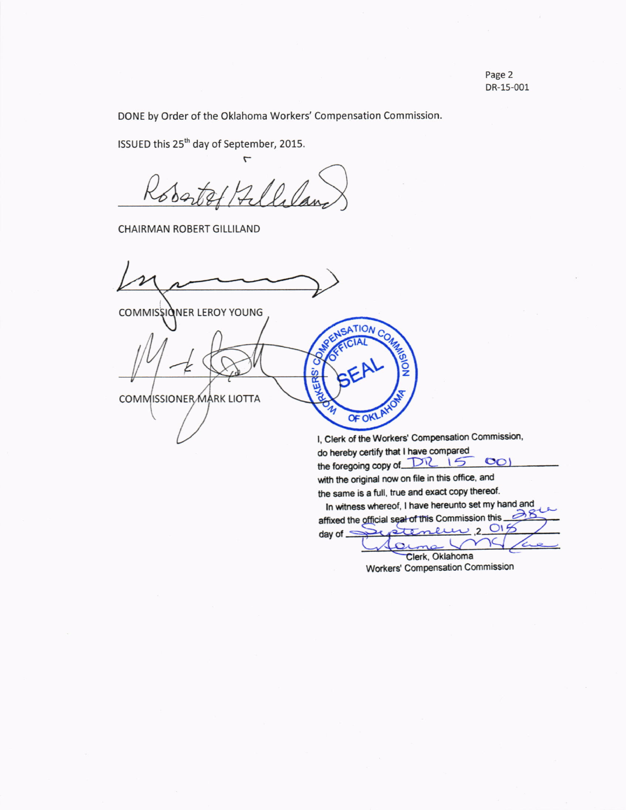DONE by Order of the Oklahoma Workers' Compensation Commission.

ISSUED this 25<sup>th</sup> day of September, 2015.

 $\overline{ }$ 10 P

CHAIRMAN ROBERT GILLILAND

COMMISSIONER LEROY YOUNG

COMMISSIONER MARK LIOTTA

I, Clerk of the Workers' Compensation Commission, do hereby certify that I have compared the foregoing copy of DR IS CO with the original now on file in this office, and the same is a full, true and exact copy thereof. In witness whereof, I have hereunto set my hand and<br> $\mathcal{E}_{\text{fixed}}$  the official society is Commission this affixed the official seal of this Commission this  $\frac{1}{2}$ <br>dev of  $\frac{1}{2}$ ۵ day of  $\leq$ 

SATION C

OF OKL

Clerk, Oklahoma Workers' Compensation Commission